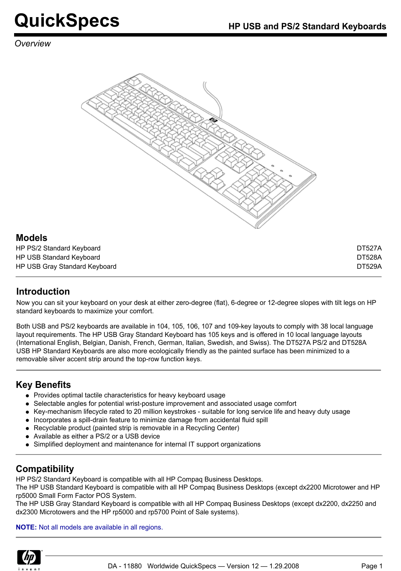#### *Overview*



#### **Models**

| HP PS/2 Standard Keyboard     | DT527A        |
|-------------------------------|---------------|
| HP USB Standard Keyboard      | <b>DT528A</b> |
| HP USB Gray Standard Keyboard | <b>DT529A</b> |

## **Introduction**

Now you can sit your keyboard on your desk at either zero-degree (flat), 6-degree or 12-degree slopes with tilt legs on HP standard keyboards to maximize your comfort.

Both USB and PS/2 keyboards are available in 104, 105, 106, 107 and 109-key layouts to comply with 38 local language layout requirements. The HP USB Gray Standard Keyboard has 105 keys and is offered in 10 local language layouts (International English, Belgian, Danish, French, German, Italian, Swedish, and Swiss). The DT527A PS/2 and DT528A USB HP Standard Keyboards are also more ecologically friendly as the painted surface has been minimized to a removable silver accent strip around the top-row function keys.

## **Key Benefits**

- Provides optimal tactile characteristics for heavy keyboard usage
- Selectable angles for potential wrist-posture improvement and associated usage comfort
- Key-mechanism lifecycle rated to 20 million keystrokes suitable for long service life and heavy duty usage
- Incorporates a spill-drain feature to minimize damage from accidental fluid spill
- Recyclable product (painted strip is removable in a Recycling Center)
- Available as either a PS/2 or a USB device
- Simplified deployment and maintenance for internal IT support organizations

## **Compatibility**

HP PS/2 Standard Keyboard is compatible with all HP Compaq Business Desktops.

The HP USB Standard Keyboard is compatible with all HP Compaq Business Desktops (except dx2200 Microtower and HP rp5000 Small Form Factor POS System.

The HP USB Gray Standard Keyboard is compatible with all HP Compaq Business Desktops (except dx2200, dx2250 and dx2300 Microtowers and the HP rp5000 and rp5700 Point of Sale systems).

**NOTE:** Not all models are available in all regions.

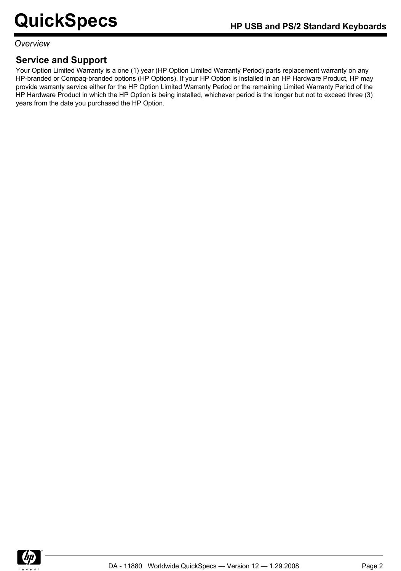#### *Overview*

## **Service and Support**

Your Option Limited Warranty is a one (1) year (HP Option Limited Warranty Period) parts replacement warranty on any HP-branded or Compaq-branded options (HP Options). If your HP Option is installed in an HP Hardware Product, HP may provide warranty service either for the HP Option Limited Warranty Period or the remaining Limited Warranty Period of the HP Hardware Product in which the HP Option is being installed, whichever period is the longer but not to exceed three (3) years from the date you purchased the HP Option.

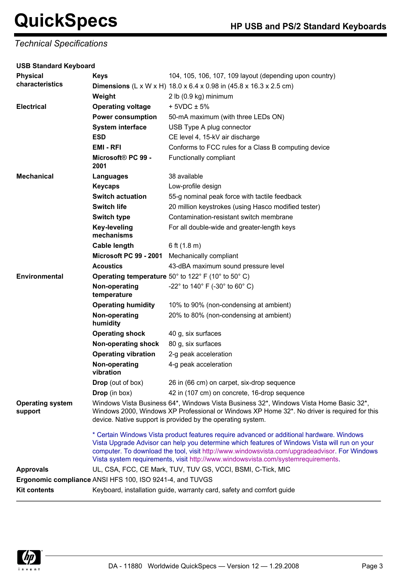*Technical Specifications*

| <b>USB Standard Keyboard</b>       |                                                                                                                                                                                                                                                      |                                                                                                                                                                                                                                                                                                                                                                                 |  |
|------------------------------------|------------------------------------------------------------------------------------------------------------------------------------------------------------------------------------------------------------------------------------------------------|---------------------------------------------------------------------------------------------------------------------------------------------------------------------------------------------------------------------------------------------------------------------------------------------------------------------------------------------------------------------------------|--|
| <b>Physical</b>                    | <b>Keys</b>                                                                                                                                                                                                                                          | 104, 105, 106, 107, 109 layout (depending upon country)                                                                                                                                                                                                                                                                                                                         |  |
| characteristics                    |                                                                                                                                                                                                                                                      | <b>Dimensions</b> (L x W x H) $18.0$ x 6.4 x 0.98 in $(45.8$ x 16.3 x 2.5 cm)                                                                                                                                                                                                                                                                                                   |  |
|                                    | Weight                                                                                                                                                                                                                                               | 2 lb (0.9 kg) minimum                                                                                                                                                                                                                                                                                                                                                           |  |
| <b>Electrical</b>                  | <b>Operating voltage</b>                                                                                                                                                                                                                             | $+5VDC \pm 5%$                                                                                                                                                                                                                                                                                                                                                                  |  |
|                                    | <b>Power consumption</b>                                                                                                                                                                                                                             | 50-mA maximum (with three LEDs ON)                                                                                                                                                                                                                                                                                                                                              |  |
|                                    | <b>System interface</b>                                                                                                                                                                                                                              | USB Type A plug connector                                                                                                                                                                                                                                                                                                                                                       |  |
|                                    | <b>ESD</b>                                                                                                                                                                                                                                           | CE level 4, 15-kV air discharge                                                                                                                                                                                                                                                                                                                                                 |  |
|                                    | <b>EMI-RFI</b>                                                                                                                                                                                                                                       | Conforms to FCC rules for a Class B computing device                                                                                                                                                                                                                                                                                                                            |  |
|                                    | Microsoft® PC 99 -<br>2001                                                                                                                                                                                                                           | Functionally compliant                                                                                                                                                                                                                                                                                                                                                          |  |
| <b>Mechanical</b>                  | <b>Languages</b>                                                                                                                                                                                                                                     | 38 available                                                                                                                                                                                                                                                                                                                                                                    |  |
|                                    | <b>Keycaps</b>                                                                                                                                                                                                                                       | Low-profile design                                                                                                                                                                                                                                                                                                                                                              |  |
|                                    | <b>Switch actuation</b>                                                                                                                                                                                                                              | 55-g nominal peak force with tactile feedback                                                                                                                                                                                                                                                                                                                                   |  |
|                                    | <b>Switch life</b>                                                                                                                                                                                                                                   | 20 million keystrokes (using Hasco modified tester)                                                                                                                                                                                                                                                                                                                             |  |
|                                    | <b>Switch type</b>                                                                                                                                                                                                                                   | Contamination-resistant switch membrane                                                                                                                                                                                                                                                                                                                                         |  |
|                                    | <b>Key-leveling</b><br>mechanisms                                                                                                                                                                                                                    | For all double-wide and greater-length keys                                                                                                                                                                                                                                                                                                                                     |  |
|                                    | <b>Cable length</b>                                                                                                                                                                                                                                  | 6 ft $(1.8 \text{ m})$                                                                                                                                                                                                                                                                                                                                                          |  |
|                                    | Microsoft PC 99 - 2001                                                                                                                                                                                                                               | Mechanically compliant                                                                                                                                                                                                                                                                                                                                                          |  |
|                                    | <b>Acoustics</b>                                                                                                                                                                                                                                     | 43-dBA maximum sound pressure level                                                                                                                                                                                                                                                                                                                                             |  |
| <b>Environmental</b>               |                                                                                                                                                                                                                                                      | <b>Operating temperature</b> 50 $^{\circ}$ to 122 $^{\circ}$ F (10 $^{\circ}$ to 50 $^{\circ}$ C)                                                                                                                                                                                                                                                                               |  |
|                                    | Non-operating<br>temperature                                                                                                                                                                                                                         | -22 $^{\circ}$ to 140 $^{\circ}$ F (-30 $^{\circ}$ to 60 $^{\circ}$ C)                                                                                                                                                                                                                                                                                                          |  |
|                                    | <b>Operating humidity</b>                                                                                                                                                                                                                            | 10% to 90% (non-condensing at ambient)                                                                                                                                                                                                                                                                                                                                          |  |
|                                    | Non-operating<br>humidity                                                                                                                                                                                                                            | 20% to 80% (non-condensing at ambient)                                                                                                                                                                                                                                                                                                                                          |  |
|                                    | <b>Operating shock</b>                                                                                                                                                                                                                               | 40 g, six surfaces                                                                                                                                                                                                                                                                                                                                                              |  |
|                                    | Non-operating shock                                                                                                                                                                                                                                  | 80 g, six surfaces                                                                                                                                                                                                                                                                                                                                                              |  |
|                                    | <b>Operating vibration</b>                                                                                                                                                                                                                           | 2-g peak acceleration                                                                                                                                                                                                                                                                                                                                                           |  |
|                                    | Non-operating<br>vibration                                                                                                                                                                                                                           | 4-g peak acceleration                                                                                                                                                                                                                                                                                                                                                           |  |
|                                    | <b>Drop</b> (out of box)                                                                                                                                                                                                                             | 26 in (66 cm) on carpet, six-drop sequence                                                                                                                                                                                                                                                                                                                                      |  |
|                                    | Drop (in box)                                                                                                                                                                                                                                        | 42 in (107 cm) on concrete, 16-drop sequence                                                                                                                                                                                                                                                                                                                                    |  |
| <b>Operating system</b><br>support | Windows Vista Business 64*, Windows Vista Business 32*, Windows Vista Home Basic 32*,<br>Windows 2000, Windows XP Professional or Windows XP Home 32*. No driver is required for this<br>device. Native support is provided by the operating system. |                                                                                                                                                                                                                                                                                                                                                                                 |  |
|                                    |                                                                                                                                                                                                                                                      | * Certain Windows Vista product features require advanced or additional hardware. Windows<br>Vista Upgrade Advisor can help you determine which features of Windows Vista will run on your<br>computer. To download the tool, visit http://www.windowsvista.com/upgradeadvisor. For Windows<br>Vista system requirements, visit http://www.windowsvista.com/systemrequirements. |  |
| <b>Approvals</b>                   | UL, CSA, FCC, CE Mark, TUV, TUV GS, VCCI, BSMI, C-Tick, MIC                                                                                                                                                                                          |                                                                                                                                                                                                                                                                                                                                                                                 |  |
|                                    | Ergonomic compliance ANSI HFS 100, ISO 9241-4, and TUVGS                                                                                                                                                                                             |                                                                                                                                                                                                                                                                                                                                                                                 |  |
| <b>Kit contents</b>                |                                                                                                                                                                                                                                                      | Keyboard, installation guide, warranty card, safety and comfort guide                                                                                                                                                                                                                                                                                                           |  |

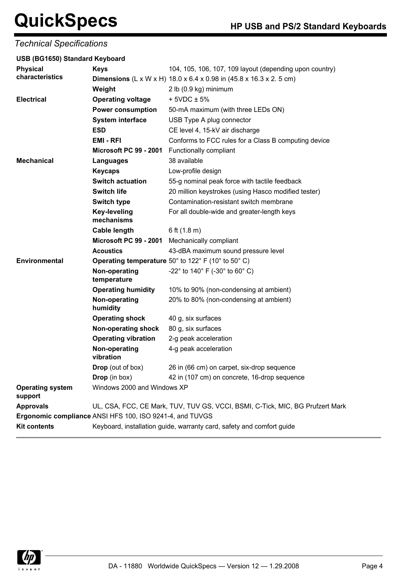*Technical Specifications*

| USB (BG1650) Standard Keyboard |                                   |                                                                               |
|--------------------------------|-----------------------------------|-------------------------------------------------------------------------------|
| <b>Physical</b>                | <b>Keys</b>                       | 104, 105, 106, 107, 109 layout (depending upon country)                       |
| characteristics                |                                   | <b>Dimensions</b> (L x W x H) $18.0$ x 6.4 x 0.98 in $(45.8$ x 16.3 x 2.5 cm) |
|                                | Weight                            | 2 lb (0.9 kg) minimum                                                         |
| <b>Electrical</b>              | <b>Operating voltage</b>          | $+5VDC \pm 5%$                                                                |
|                                | <b>Power consumption</b>          | 50-mA maximum (with three LEDs ON)                                            |
|                                | <b>System interface</b>           | USB Type A plug connector                                                     |
|                                | <b>ESD</b>                        | CE level 4, 15-kV air discharge                                               |
|                                | <b>EMI-RFI</b>                    | Conforms to FCC rules for a Class B computing device                          |
|                                | Microsoft PC 99 - 2001            | Functionally compliant                                                        |
| <b>Mechanical</b>              | Languages                         | 38 available                                                                  |
|                                | <b>Keycaps</b>                    | Low-profile design                                                            |
|                                | <b>Switch actuation</b>           | 55-g nominal peak force with tactile feedback                                 |
|                                | <b>Switch life</b>                | 20 million keystrokes (using Hasco modified tester)                           |
|                                | <b>Switch type</b>                | Contamination-resistant switch membrane                                       |
|                                | <b>Key-leveling</b><br>mechanisms | For all double-wide and greater-length keys                                   |
|                                | <b>Cable length</b>               | 6 ft $(1.8 \text{ m})$                                                        |
|                                | Microsoft PC 99 - 2001            | Mechanically compliant                                                        |
|                                | <b>Acoustics</b>                  | 43-dBA maximum sound pressure level                                           |
| Environmental                  |                                   | Operating temperature 50° to 122° F (10° to 50° C)                            |
|                                | Non-operating<br>temperature      | -22 $^{\circ}$ to 140 $^{\circ}$ F (-30 $^{\circ}$ to 60 $^{\circ}$ C)        |
|                                | <b>Operating humidity</b>         | 10% to 90% (non-condensing at ambient)                                        |
|                                | Non-operating<br>humidity         | 20% to 80% (non-condensing at ambient)                                        |
|                                | <b>Operating shock</b>            | 40 g, six surfaces                                                            |
|                                | Non-operating shock               | 80 g, six surfaces                                                            |
|                                | <b>Operating vibration</b>        | 2-g peak acceleration                                                         |

**Non-operating vibration**

**Ergonomic compliance** ANSI HFS 100, ISO 9241-4, and TUVGS

Windows 2000 and Windows XP

Kit contents **Keyboard, installation guide, warranty card, safety and comfort guide** 



**Operating system**

**support**

4-g peak acceleration

**Drop** (out of box) 26 in (66 cm) on carpet, six-drop sequence **Drop** (in box) 42 in (107 cm) on concrete, 16-drop sequence

**Approvals** UL, CSA, FCC, CE Mark, TUV, TUV GS, VCCI, BSMI, C-Tick, MIC, BG Prufzert Mark